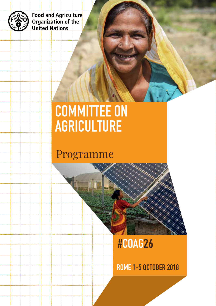

Food and Agriculture<br>Organization of the **United Nations** 

# COMMITTEE ON AGRICULTURE

## Programme

# #COAG26

ROME 1-5 OCTOBER 2018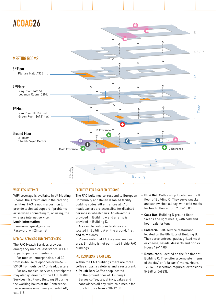

#### WIRFI FSS INTERNET

WiFi coverage is available in all Meeting Rooms, the Atrium and in the catering facilities. FAO is not in a position to provide technical support if problems arise when connecting to, or using, the wireless internet service.

#### **Login information**

Username: guest\_internet Password: wifi2internet

#### Medical Services and Emergencies

The FAO Health Services provides emergency medical assistance in FAO to participants at meetings.

For medical emergencies, dial 30 from in-house telephones or 06-570- 53400 from outside FAO Headquarters.

For any medical services, participants may also go directly to the FAO Health Services (1st Floor, Building B) during the working hours of the Conference. For a serious emergency outside FAO, call 118.

#### Facilities for disabled persons

The FAO buildings correspond to European Community and Italian disabled facility building codes. All entrances at FAO headquarters are accessible for disabled persons in wheelchairs. An elevator is provided in Building A and a ramp is provided in Building D.

Accessible restroom facilities are located in Building A on the ground, first and third floors.

Please note that FAO is a smoke-free area. Smoking is not permitted inside FAO buildings.

#### FAO Restaurants and Bars

Within the FAO buildings there are three coffee shops, a cafeteria and a restaurant.

**• Polish Bar:** Coffee shop located on the ground floor of Building A. Serves coffee, tea, drinks, cakes and sandwiches all day, with cold meals for lunch. Hours from 7.30–17.00.

- • **Blue Bar**: Coffee shop located on the 8th floor of Building C. They serve snacks and sandwiches all day, with cold meals for lunch. Hours from 7.30–13.00.
- • **Casa Bar**: Building D ground floor. Salads and light meals, with cold and hot meals for lunch.
- • **Cafeteria**: Self-service restaurant located on the 8th floor of Building B. They serve entrees, pasta, grilled meat or cheese, salads, desserts and drinks. Hours 12–14.00.
- **Restaurant:** Located on the 8th floor of Building C. They offer a complete 'menu of the day' or 'a la carte' menu. Hours 12–14. Reservation required (extensions: 54268 or 56823).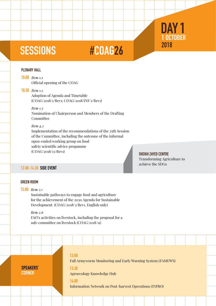# SESSIONS #COAG26

#### PLENARY HALL

10:00 *Item* 1.1 Official opening of the COAG

### 10:30 *Item 1.2*

Adoption of Agenda and Timetable (COAG/2018/1/Rev1; COAG/2018/INF/1/Rev1)

*Item 1.3*

Nomination of Chairperson and Members of the Drafting Committee

#### *Item 4.2*

Implementation of the recommendations of the 25th Session of the Committee, including the outcome of the informal open-ended working group on food safety scientific advice progamme (COAG/2018/13/Rev1) Sheikh Zayed Centre

Transforming Agriculture to achieve the SDGs

1 OCTOBER

DAY<sub>1</sub>

2018

#### 13.00-14.30 Side event

#### GREEN ROOM

### 15:00 *Item 2.1*

Sustainable pathways to engage food and agriculture for the achievement of the 2030 Agenda for Sustainable Development (COAG/2018/3/Rev1. English only)

#### *Item 2.6*

FAO's activities on livestock, including the proposal for a sub-committee on livestock (COAG/2018/11)

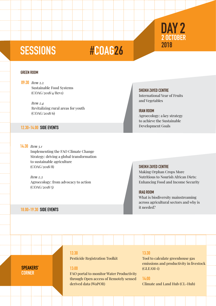## 2 OCTOBER 2018 DAY<sub>2</sub>

# SESSIONS #COAG26

#### GREEN ROOM

09:30 *Item* 2.2 Sustainable Food Systems (COAG/2018/4/Rev1)

> *Item 2.4* Revitalizing rural areas for youth (COAG/2018/6)

#### 12.30-14.00 Side events

14:30 *Item 3.1*  Implementing the FAO Climate Change Strategy: driving a global transformation to sustainable agriculture (COAG/2018/8)

> *Item 2.3*  Agroecology: from advocacy to action (COAG/2018/5)

#### 18.00-19.30 Side events

SPEAKERS' **CORNER** 

SHEIKH ZAYED CENTRE

International Year of Fruits and Vegetables

#### iran room

Agroecology: a key strategy to achieve the Sustainable Development Goals

#### SHEIKH ZAYED CENTRE

Making Orphan Crops More Nutritious to Nourish African Diets: Enhancing Food and Income Security

#### iraQ room

What is biodiversity mainstreaming across agricultural sectors and why is it needed?

### 12:30

Pesticide Registration Toolkit

### 13:00

FAO portal to monitor Water Productivity through Open access of Remotely sensed derived data (WaPOR)

#### 13:30

Tool to calculate greenhouse gas emissions and productivity in livestock (GLEAM-i)

#### 14:00

Climate and Land Hub (CL-Hub)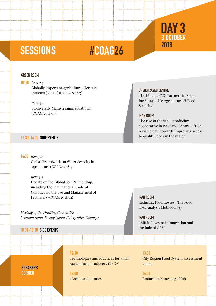## 3 OCTOBER 2018 DAY<sub>3</sub>

## SESSIONS #COAG26

#### GREEN ROOM

09:30 *Item* 2.5 Globally Important Agricultural Heritage Systems (GIAHS) (COAG/2018/7)

> *Item 3.3* Biodiversity Mainstreaming Platform (COAG/2018/10)

#### 12.30-14.00 Side events

#### The EU and FAO, Partners in Action

SHEIKH ZAYED CENTRE

for Sustainable Agriculture & Food Security

#### iran room

The rise of the seed-producing cooperative in West and Central Africa. A viable path towards improving access to quality seeds in the region

14:30 *Item 3.2* 

Global Framework on Water Scarcity in Agriculture (COAG/2018/9)

*Item 3.4*

Update on the Global Soil Partnership, including the International Code of Conduct for the Use and Management of Fertilizers (COAG/2018/12)

*Meeting of the Drafting Committee – Lebanon room, D-209 (immediately after Plenary)* 

### 18.00-19.30 Side events

Speakers' **CORNER** 

12:30

Technologies and Practices for Small Agricultural Producers (TECA)

13:00 eLocust and drones 13:30 City Region Food System assessment toolkit

14:00 Pastoralist Knowledge Hub

## iran room

Reducing Food Losses: The Food Loss Analysis Methodology

#### iraq room

AMR in Livestock: Innovation and the Role of GASL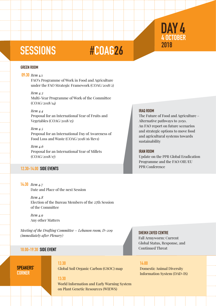## SESSIONS #COAG26

#### GREEN ROOM

#### 09:30 *Item* 4.1

FAO's Programme of Work in Food and Agriculture under the FAO Strategic Framework (COAG/2018/2)

#### *Item 4.3*

Multi-Year Programme of Work of the Committee (COAG/2018/14)

#### *Item 4.4*

Proposal for an International Year of Fruits and Vegetables (COAG/2018/15)

#### *Item 4.5*

Proposal for an International Day of Awareness of Food Loss and Waste (COAG/2018/16/Rev1)

#### *Item 4.6* Proposal for an International Year of Millets (COAG/2018/17)

#### 12.30-14.00 Side events

#### 14:30 *Item 4.7*

Date and Place of the next Session

### *Item 4.8*

Election of the Bureau Members of the 27th Session of the Committee

*Item 4.9*  Any other Matters

*Meeting of the Drafting Committee – Lebanon room, D-209 (immediately after Plenary)* 

#### Speakers' **CORNER**

12:30 Global Soil Organic Carbon (GSOC) map

#### 13:30

World Information and Early Warning System on Plant Genetic Resources (WIEWS)

#### Iraq room

The Future of Food and Agriculture – Alternative pathways to 2050. An FAO report on future scenarios and strategic options to move food and agricultural systems towards sustainability

#### iran room

Update on the PPR Global Eradication Programme and the FAO/OIE/EU PPR Conference

#### SHEIKH ZAYED CENTRE

Fall Armyworm: Current Global Status, Response, and 18.00-19.30 SIDE EVENT **Continued Threat** 

#### 14:00

Domestic Animal Diversity Information System (DAD-IS)

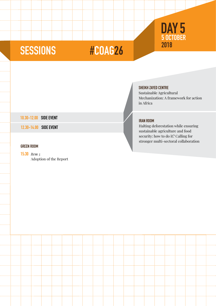## 5 O 2018 DAY 5

# SESSIONS #COAG26

| 10.30-12.00 SIDE EVENT |                        |  | <b>IRAN ROO</b> |
|------------------------|------------------------|--|-----------------|
|                        | 12.30-14.00 SIDE EVENT |  | Halting         |

### GREEN ROOM

## 15:30 *Item 5*

Adoption of the Report

### Sheikh Zayed Centre

Sustainable Agricultural Mechanization: A framework for action in Africa

Halting deforestation while ensuring sustainable agriculture and food security: how to do it? Calling for stronger multi-sectoral collaboration